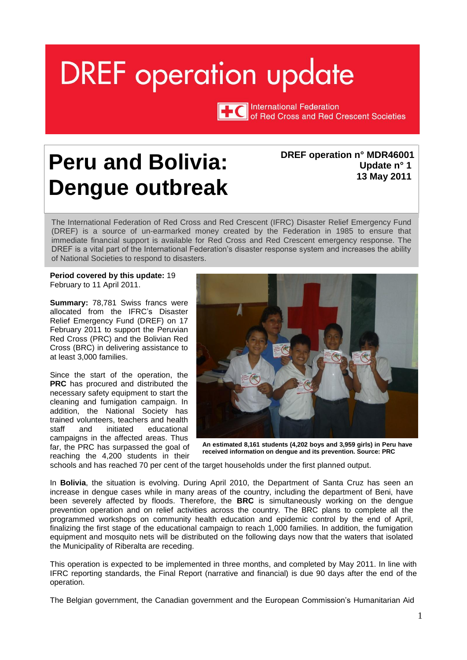# <span id="page-0-0"></span>**DREF** operation update

**TTC** International Federation of Red Cross and Red Crescent Societies

# **Peru and Bolivia: Dengue outbreak**

#### **DREF operation n° MDR46001 Update n° 1 13 May 2011**

The International Federation of Red Cross and Red Crescent (IFRC) Disaster Relief Emergency Fund (DREF) is a source of un-earmarked money created by the Federation in 1985 to ensure that immediate financial support is available for Red Cross and Red Crescent emergency response. The DREF is a vital part of the International Federation's disaster response system and increases the ability of National Societies to respond to disasters.

**Period covered by this update:** 19 February to 11 April 2011.

**Summary:** 78,781 Swiss francs were allocated from the IFRC's Disaster Relief Emergency Fund (DREF) on 17 February 2011 to support the Peruvian Red Cross (PRC) and the Bolivian Red Cross (BRC) in delivering assistance to at least 3,000 families.

Since the start of the operation, the **PRC** has procured and distributed the necessary safety equipment to start the cleaning and fumigation campaign. In addition, the National Society has trained volunteers, teachers and health staff and initiated educational campaigns in the affected areas. Thus far, the PRC has surpassed the goal of reaching the 4,200 students in their



**An estimated 8,161 students (4,202 boys and 3,959 girls) in Peru have received information on dengue and its prevention. Source: PRC** 

schools and has reached 70 per cent of the target households under the first planned output.

In **Bolivia**, the situation is evolving. During April 2010, the Department of Santa Cruz has seen an increase in dengue cases while in many areas of the country, including the department of Beni, have been severely affected by floods. Therefore, the **BRC** is simultaneously working on the dengue prevention operation and on relief activities across the country. The BRC plans to complete all the programmed workshops on community health education and epidemic control by the end of April, finalizing the first stage of the educational campaign to reach 1,000 families. In addition, the fumigation equipment and mosquito nets will be distributed on the following days now that the waters that isolated the Municipality of Riberalta are receding.

This operation is expected to be implemented in three months, and completed by May 2011. In line with IFRC reporting standards, the Final Report (narrative and financial) is due 90 days after the end of the operation.

The Belgian government, the Canadian government and the European Commission's Humanitarian Aid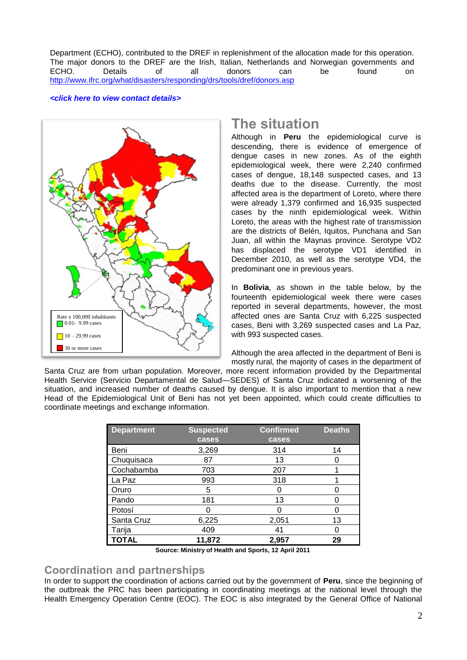Department (ECHO), contributed to the DREF in replenishment of the allocation made for this operation. The major donors to the DREF are the Irish, Italian, Netherlands and Norwegian governments and<br>ECHO. Details of all donors can be found on ECHO. Details of all donors can be found on <http://www.ifrc.org/what/disasters/responding/drs/tools/dref/donors.asp>

#### *[<click here to view contact details>](#page-5-0)*



# **The situation**

Although in **Peru** the epidemiological curve is descending, there is evidence of emergence of dengue cases in new zones. As of the eighth epidemiological week, there were 2,240 confirmed cases of dengue, 18,148 suspected cases, and 13 deaths due to the disease. Currently, the most affected area is the department of Loreto, where there were already 1,379 confirmed and 16,935 suspected cases by the ninth epidemiological week. Within Loreto, the areas with the highest rate of transmission are the districts of Belén, Iquitos, Punchana and San Juan, all within the Maynas province. Serotype VD2 has displaced the serotype VD1 identified in December 2010, as well as the serotype VD4, the predominant one in previous years.

In **Bolivia**, as shown in the table below, by the fourteenth epidemiological week there were cases reported in several departments, however, the most affected ones are Santa Cruz with 6,225 suspected cases, Beni with 3,269 suspected cases and La Paz, with 993 suspected cases.

Although the area affected in the department of Beni is mostly rural, the majority of cases in the department of

Santa Cruz are from urban population. Moreover, more recent information provided by the Departmental Health Service (Servicio Departamental de Salud—SEDES) of Santa Cruz indicated a worsening of the situation, and increased number of deaths caused by dengue. It is also important to mention that a new Head of the Epidemiological Unit of Beni has not yet been appointed, which could create difficulties to coordinate meetings and exchange information.

| <b>Department</b> | <b>Suspected</b> | <b>Confirmed</b> | <b>Deaths</b> |
|-------------------|------------------|------------------|---------------|
|                   | cases            | <b>cases</b>     |               |
| Beni              | 3,269            | 314              | 14            |
| Chuquisaca        | 87               | 13               | O             |
| Cochabamba        | 703              | 207              |               |
| La Paz            | 993              | 318              |               |
| Oruro             | 5                |                  | O             |
| Pando             | 181              | 13               | O             |
| Potosí            | 0                |                  | O             |
| Santa Cruz        | 6,225            | 2,051            | 13            |
| Tarija            | 409              | 41               | O             |
| <b>TOTAL</b>      | 11,872           | 2,957            | 29            |

**Source: Ministry of Health and Sports, 12 April 2011**

### **Coordination and partnerships**

In order to support the coordination of actions carried out by the government of **Peru**, since the beginning of the outbreak the PRC has been participating in coordinating meetings at the national level through the Health Emergency Operation Centre (EOC). The EOC is also integrated by the General Office of National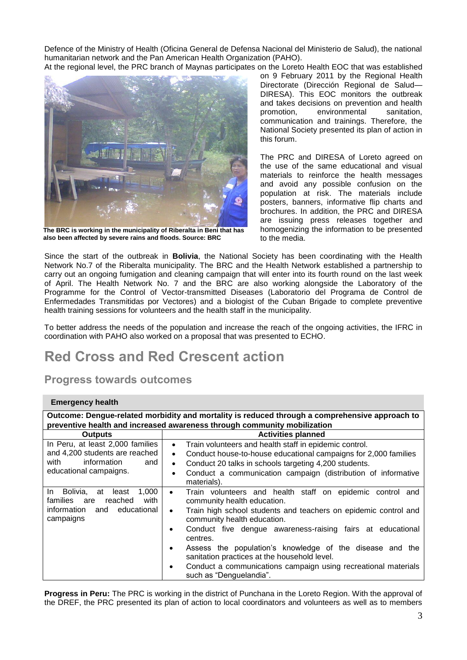Defence of the Ministry of Health (Oficina General de Defensa Nacional del Ministerio de Salud), the national humanitarian network and the Pan American Health Organization (PAHO).

At the regional level, the PRC branch of Maynas participates on the Loreto Health EOC that was established



**The BRC is working in the municipality of Riberalta in Beni that has also been affected by severe rains and floods. Source: BRC**

on 9 February 2011 by the Regional Health Directorate (Dirección Regional de Salud— DIRESA). This EOC monitors the outbreak and takes decisions on prevention and health promotion, environmental sanitation, communication and trainings. Therefore, the National Society presented its plan of action in this forum.

The PRC and DIRESA of Loreto agreed on the use of the same educational and visual materials to reinforce the health messages and avoid any possible confusion on the population at risk. The materials include posters, banners, informative flip charts and brochures. In addition, the PRC and DIRESA are issuing press releases together and homogenizing the information to be presented to the media.

Since the start of the outbreak in **Bolivia**, the National Society has been coordinating with the Health Network No.7 of the Riberalta municipality. The BRC and the Health Network established a partnership to carry out an ongoing fumigation and cleaning campaign that will enter into its fourth round on the last week of April. The Health Network No. 7 and the BRC are also working alongside the Laboratory of the Programme for the Control of Vector-transmitted Diseases (Laboratorio del Programa de Control de Enfermedades Transmitidas por Vectores) and a biologist of the Cuban Brigade to complete preventive health training sessions for volunteers and the health staff in the municipality.

To better address the needs of the population and increase the reach of the ongoing activities, the IFRC in coordination with PAHO also worked on a proposal that was presented to ECHO.

# **Red Cross and Red Crescent action**

# **Progress towards outcomes**

#### **Emergency health**

|                                                                                                                                    | Outcome: Dengue-related morbidity and mortality is reduced through a comprehensive approach to                                                                                                                                                                                                                                                                                                                                                                                                               |  |  |
|------------------------------------------------------------------------------------------------------------------------------------|--------------------------------------------------------------------------------------------------------------------------------------------------------------------------------------------------------------------------------------------------------------------------------------------------------------------------------------------------------------------------------------------------------------------------------------------------------------------------------------------------------------|--|--|
| preventive health and increased awareness through community mobilization                                                           |                                                                                                                                                                                                                                                                                                                                                                                                                                                                                                              |  |  |
| <b>Outputs</b>                                                                                                                     | <b>Activities planned</b>                                                                                                                                                                                                                                                                                                                                                                                                                                                                                    |  |  |
| In Peru, at least 2,000 families<br>and 4,200 students are reached<br>with<br>information<br>and<br>educational campaigns.         | Train volunteers and health staff in epidemic control.<br>$\bullet$<br>Conduct house-to-house educational campaigns for 2,000 families<br>$\bullet$<br>Conduct 20 talks in schools targeting 4,200 students.<br>$\bullet$<br>Conduct a communication campaign (distribution of informative<br>$\bullet$<br>materials).                                                                                                                                                                                       |  |  |
| 1.000<br>In Bolivia,<br>at<br>least<br>with<br><b>families</b><br>reached<br>are<br>educational<br>information<br>and<br>campaigns | Train volunteers and health staff on epidemic control and<br>$\bullet$<br>community health education.<br>Train high school students and teachers on epidemic control and<br>$\bullet$<br>community health education.<br>Conduct five dengue awareness-raising fairs at educational<br>centres.<br>Assess the population's knowledge of the disease and the<br>sanitation practices at the household level.<br>Conduct a communications campaign using recreational materials<br>٠<br>such as "Denguelandia". |  |  |

**Progress in Peru:** The PRC is working in the district of Punchana in the Loreto Region. With the approval of the DREF, the PRC presented its plan of action to local coordinators and volunteers as well as to members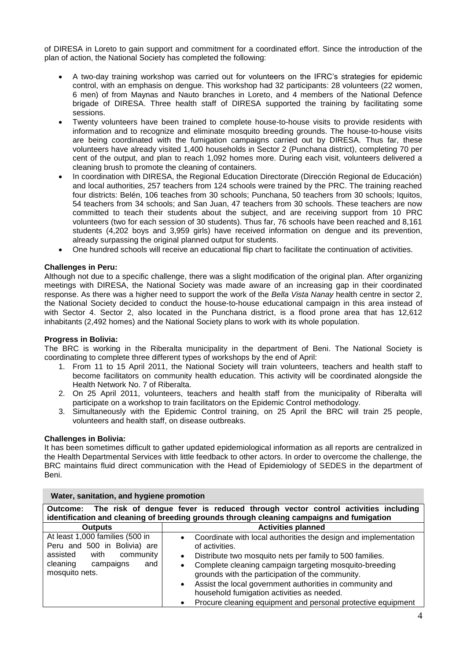of DIRESA in Loreto to gain support and commitment for a coordinated effort. Since the introduction of the plan of action, the National Society has completed the following:

- A two-day training workshop was carried out for volunteers on the IFRC's strategies for epidemic control, with an emphasis on dengue. This workshop had 32 participants: 28 volunteers (22 women, 6 men) of from Maynas and Nauto branches in Loreto, and 4 members of the National Defence brigade of DIRESA. Three health staff of DIRESA supported the training by facilitating some sessions.
- Twenty volunteers have been trained to complete house-to-house visits to provide residents with information and to recognize and eliminate mosquito breeding grounds. The house-to-house visits are being coordinated with the fumigation campaigns carried out by DIRESA. Thus far, these volunteers have already visited 1,400 households in Sector 2 (Punchana district), completing 70 per cent of the output, and plan to reach 1,092 homes more. During each visit, volunteers delivered a cleaning brush to promote the cleaning of containers.
- In coordination with DIRESA, the Regional Education Directorate (Dirección Regional de Educación) and local authorities, 257 teachers from 124 schools were trained by the PRC. The training reached four districts: Belén, 106 teaches from 30 schools; Punchana, 50 teachers from 30 schools; Iquitos, 54 teachers from 34 schools; and San Juan, 47 teachers from 30 schools. These teachers are now committed to teach their students about the subject, and are receiving support from 10 PRC volunteers (two for each session of 30 students). Thus far, 76 schools have been reached and 8,161 students (4,202 boys and 3,959 girls) have received information on dengue and its prevention, already surpassing the original planned output for students.
- One hundred schools will receive an educational flip chart to facilitate the continuation of activities.

#### **Challenges in Peru:**

Although not due to a specific challenge, there was a slight modification of the original plan. After organizing meetings with DIRESA, the National Society was made aware of an increasing gap in their coordinated response. As there was a higher need to support the work of the *Bella Vista Nanay* health centre in sector 2, the National Society decided to conduct the house-to-house educational campaign in this area instead of with Sector 4. Sector 2, also located in the Punchana district, is a flood prone area that has 12,612 inhabitants (2,492 homes) and the National Society plans to work with its whole population.

#### **Progress in Bolivia:**

The BRC is working in the Riberalta municipality in the department of Beni. The National Society is coordinating to complete three different types of workshops by the end of April:

- 1. From 11 to 15 April 2011, the National Society will train volunteers, teachers and health staff to become facilitators on community health education. This activity will be coordinated alongside the Health Network No. 7 of Riberalta.
- 2. On 25 April 2011, volunteers, teachers and health staff from the municipality of Riberalta will participate on a workshop to train facilitators on the Epidemic Control methodology.
- 3. Simultaneously with the Epidemic Control training, on 25 April the BRC will train 25 people, volunteers and health staff, on disease outbreaks.

#### **Challenges in Bolivia:**

It has been sometimes difficult to gather updated epidemiological information as all reports are centralized in the Health Departmental Services with little feedback to other actors. In order to overcome the challenge, the BRC maintains fluid direct communication with the Head of Epidemiology of SEDES in the department of Beni.

| The risk of dengue fever is reduced through vector control activities including<br>Outcome:<br>identification and cleaning of breeding grounds through cleaning campaigns and fumigation |                                                                                                                                                                                                                                                                                                                                                                                                                                                                                        |  |  |  |
|------------------------------------------------------------------------------------------------------------------------------------------------------------------------------------------|----------------------------------------------------------------------------------------------------------------------------------------------------------------------------------------------------------------------------------------------------------------------------------------------------------------------------------------------------------------------------------------------------------------------------------------------------------------------------------------|--|--|--|
| <b>Outputs</b>                                                                                                                                                                           | <b>Activities planned</b>                                                                                                                                                                                                                                                                                                                                                                                                                                                              |  |  |  |
| At least 1,000 families (500 in<br>Peru and 500 in Bolivia) are<br>assisted<br>with<br>community<br>cleaning<br>campaigns<br>and<br>mosquito nets.                                       | Coordinate with local authorities the design and implementation<br>$\bullet$<br>of activities.<br>Distribute two mosquito nets per family to 500 families.<br>$\bullet$<br>Complete cleaning campaign targeting mosquito-breeding<br>٠<br>grounds with the participation of the community.<br>Assist the local government authorities in community and<br>$\bullet$<br>household fumigation activities as needed.<br>Procure cleaning equipment and personal protective equipment<br>٠ |  |  |  |

#### **Water, sanitation, and hygiene promotion**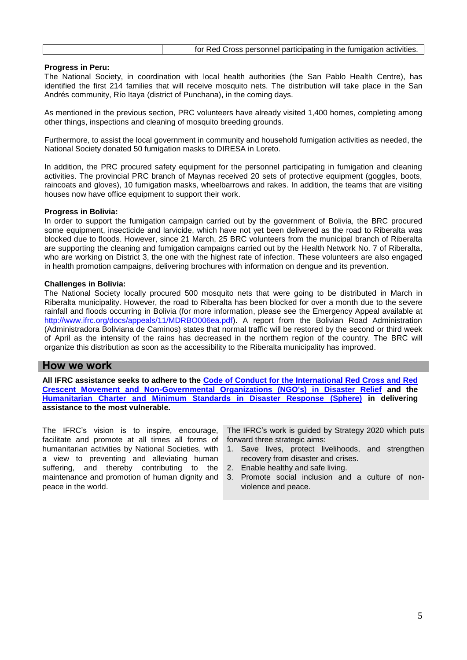#### **Progress in Peru:**

The National Society, in coordination with local health authorities (the San Pablo Health Centre), has identified the first 214 families that will receive mosquito nets. The distribution will take place in the San Andrés community, Río Itaya (district of Punchana), in the coming days.

As mentioned in the previous section, PRC volunteers have already visited 1,400 homes, completing among other things, inspections and cleaning of mosquito breeding grounds.

Furthermore, to assist the local government in community and household fumigation activities as needed, the National Society donated 50 fumigation masks to DIRESA in Loreto.

In addition, the PRC procured safety equipment for the personnel participating in fumigation and cleaning activities. The provincial PRC branch of Maynas received 20 sets of protective equipment (goggles, boots, raincoats and gloves), 10 fumigation masks, wheelbarrows and rakes. In addition, the teams that are visiting houses now have office equipment to support their work.

#### **Progress in Bolivia:**

In order to support the fumigation campaign carried out by the government of Bolivia, the BRC procured some equipment, insecticide and larvicide, which have not yet been delivered as the road to Riberalta was blocked due to floods. However, since 21 March, 25 BRC volunteers from the municipal branch of Riberalta are supporting the cleaning and fumigation campaigns carried out by the Health Network No. 7 of Riberalta, who are working on District 3, the one with the highest rate of infection. These volunteers are also engaged in health promotion campaigns, delivering brochures with information on dengue and its prevention.

#### **Challenges in Bolivia:**

The National Society locally procured 500 mosquito nets that were going to be distributed in March in Riberalta municipality. However, the road to Riberalta has been blocked for over a month due to the severe rainfall and floods occurring in Bolivia (for more information, please see the Emergency Appeal available at [http://www.ifrc.org/docs/appeals/11/MDRBO006ea.pdf\)](http://www.ifrc.org/docs/appeals/11/MDRBO006ea.pdf). A report from the Bolivian Road Administration (Administradora Boliviana de Caminos) states that normal traffic will be restored by the second or third week of April as the intensity of the rains has decreased in the northern region of the country. The BRC will organize this distribution as soon as the accessibility to the Riberalta municipality has improved.

#### **How we work**

**All IFRC assistance seeks to adhere to the [Code of Conduct for the International](http://www.ifrc.org/publicat/code.asp) Red Cross and Red [Crescent Movement and Non-Governmental Organizations \(NGO's\) in Disaster Relief](http://www.ifrc.org/publicat/code.asp) and the [Humanitarian Charter and Minimum Standards in Disaster Response](http://www.sphereproject.org/) (Sphere) in delivering assistance to the most vulnerable.**

The IFRC's vision is to inspire, encourage, facilitate and promote at all times all forms of humanitarian activities by National Societies, with a view to preventing and alleviating human suffering, and thereby contributing to the maintenance and promotion of human dignity and peace in the world.

The IFRC's work is guided by Strategy 2020 which puts forward three strategic aims:

- 1. Save lives, protect livelihoods, and strengthen recovery from disaster and crises.
- 2. Enable healthy and safe living.
- 3. Promote social inclusion and a culture of nonviolence and peace.